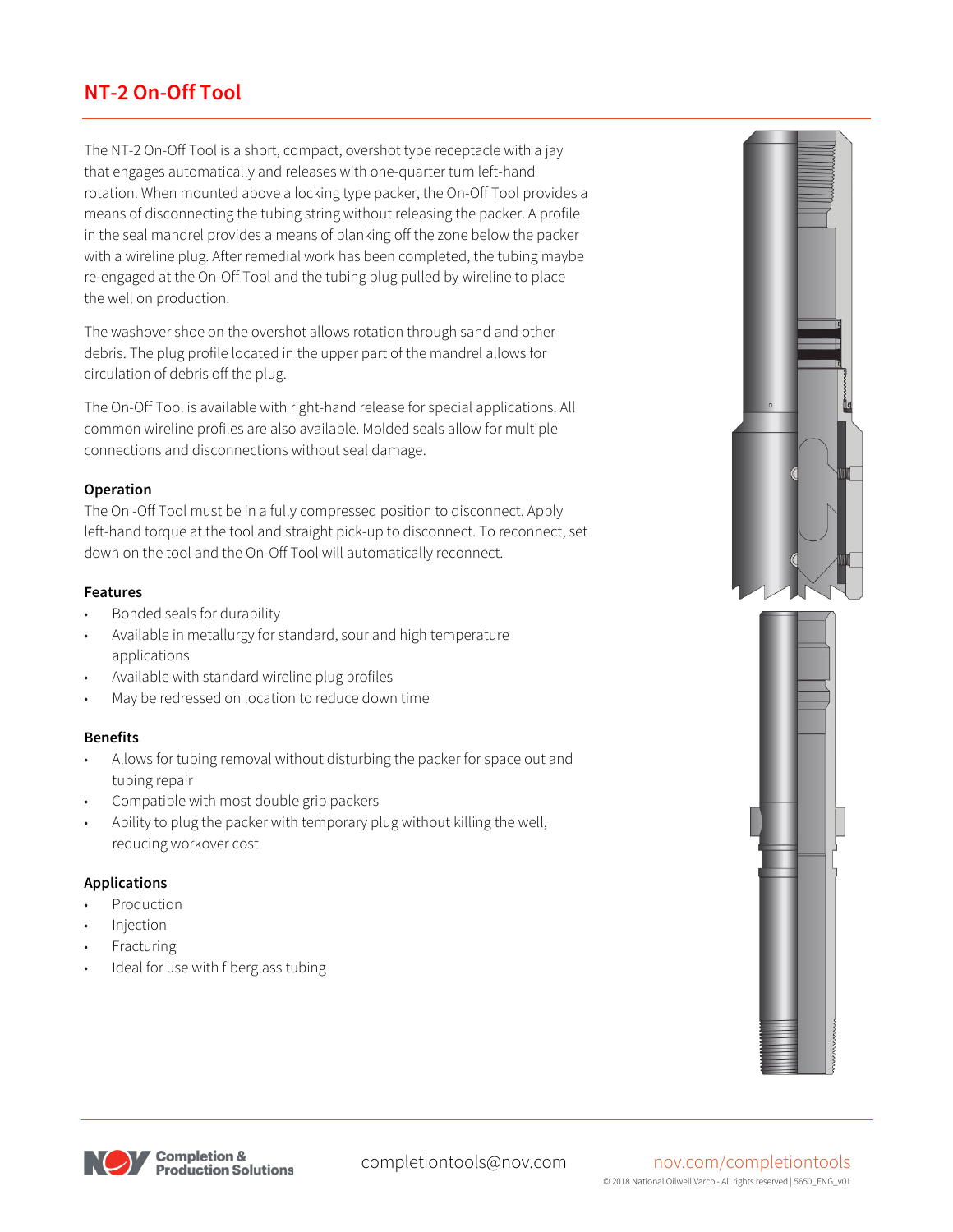# **NT-2 On-Off Tool**

The NT-2 On-Off Tool is a short, compact, overshot type receptacle with a jay that engages automatically and releases with one-quarter turn left-hand rotation. When mounted above a locking type packer, the On-Off Tool provides a means of disconnecting the tubing string without releasing the packer. A profile in the seal mandrel provides a means of blanking off the zone below the packer with a wireline plug. After remedial work has been completed, the tubing maybe re-engaged at the On-Off Tool and the tubing plug pulled by wireline to place the well on production.

The washover shoe on the overshot allows rotation through sand and other debris. The plug profile located in the upper part of the mandrel allows for circulation of debris off the plug.

The On-Off Tool is available with right-hand release for special applications. All common wireline profiles are also available. Molded seals allow for multiple connections and disconnections without seal damage.

## **Operation**

The On -Off Tool must be in a fully compressed position to disconnect. Apply left-hand torque at the tool and straight pick-up to disconnect. To reconnect, set down on the tool and the On-Off Tool will automatically reconnect.

### **Features**

- Bonded seals for durability
- Available in metallurgy for standard, sour and high temperature applications
- Available with standard wireline plug profiles
- May be redressed on location to reduce down time

### **Benefits**

- Allows for tubing removal without disturbing the packer for space out and tubing repair
- Compatible with most double grip packers
- Ability to plug the packer with temporary plug without killing the well, reducing workover cost

## **Applications**

- **Production**
- **Injection**
- **Fracturing**
- Ideal for use with fiberglass tubing







#### completiontools@nov.com nov.com/completiontools © 2018 National Oilwell Varco - All rights reserved | 5650\_ENG\_v01